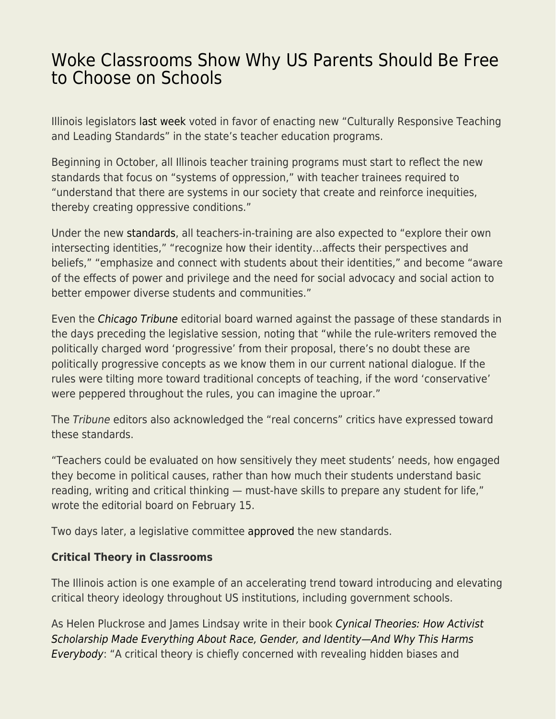## [Woke Classrooms Show Why US Parents Should Be Free](https://everything-voluntary.com/woke-classrooms-show-why-us-parents-should-be-free-to-choose-on-schools) [to Choose on Schools](https://everything-voluntary.com/woke-classrooms-show-why-us-parents-should-be-free-to-choose-on-schools)

Illinois legislators [last week](https://www.illinoispolicy.org/illinois-lawmakers-approve-controversial-culturally-responsive-teaching-rule/) voted in favor of enacting new "Culturally Responsive Teaching and Leading Standards" in the state's teacher education programs.

Beginning in October, all Illinois teacher training programs must start to reflect the new standards that focus on "systems of oppression," with teacher trainees required to "understand that there are systems in our society that create and reinforce inequities, thereby creating oppressive conditions."

Under the new [standards](https://www.isbe.net/Documents/23-24RG-P.pdf), all teachers-in-training are also expected to "explore their own intersecting identities," "recognize how their identity…affects their perspectives and beliefs," "emphasize and connect with students about their identities," and become "aware of the effects of power and privilege and the need for social advocacy and social action to better empower diverse students and communities."

Even the [Chicago Tribune](https://www.chicagotribune.com/opinion/editorials/ct-edit-illinois-teaching-standards-culturally-responsive-20210215-tm7btsxjizg2xm42bholybf454-story.html) editorial board warned against the passage of these standards in the days preceding the legislative session, noting that "while the rule-writers removed the politically charged word 'progressive' from their proposal, there's no doubt these are politically progressive concepts as we know them in our current national dialogue. If the rules were tilting more toward traditional concepts of teaching, if the word 'conservative' were peppered throughout the rules, you can imagine the uproar."

The Tribune editors also acknowledged the "real concerns" critics have expressed toward these standards.

"Teachers could be evaluated on how sensitively they meet students' needs, how engaged they become in political causes, rather than how much their students understand basic reading, writing and critical thinking — must-have skills to prepare any student for life," wrote the editorial board on February 15.

Two days later, a legislative committee [approved](https://www.wqad.com/article/news/education/new-culturally-responsive-teaching-standards-approved-for-illinois/526-968397ca-0531-4db7-a870-ee65d7e4c5d5) the new standards.

## **Critical Theory in Classrooms**

The Illinois action is one example of an accelerating trend toward introducing and elevating critical theory ideology throughout US institutions, including government schools.

As Helen Pluckrose and James Lindsay write in their book [Cynical Theories: How Activist](https://www.amazon.com/Cynical-Theories-Scholarship-Everything-Identity_and/dp/1634312023) [Scholarship Made Everything About Race, Gender, and Identity—And Why This Harms](https://www.amazon.com/Cynical-Theories-Scholarship-Everything-Identity_and/dp/1634312023) [Everybody](https://www.amazon.com/Cynical-Theories-Scholarship-Everything-Identity_and/dp/1634312023): "A critical theory is chiefly concerned with revealing hidden biases and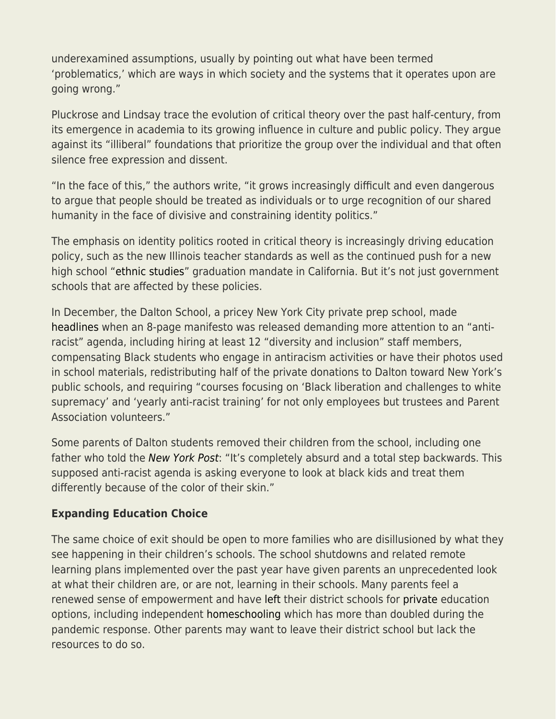underexamined assumptions, usually by pointing out what have been termed 'problematics,' which are ways in which society and the systems that it operates upon are going wrong."

Pluckrose and Lindsay trace the evolution of critical theory over the past half-century, from its emergence in academia to its growing influence in culture and public policy. They argue against its "illiberal" foundations that prioritize the group over the individual and that often silence free expression and dissent.

"In the face of this," the authors write, "it grows increasingly difficult and even dangerous to argue that people should be treated as individuals or to urge recognition of our shared humanity in the face of divisive and constraining identity politics."

The emphasis on identity politics rooted in critical theory is increasingly driving education policy, such as the new Illinois teacher standards as well as the continued push for a new high school ["ethnic studies](https://www.educationnext.org/ethnic-studies-california-unsteady-jump-from-college-campuses-to-k-12-classrooms/)" graduation mandate in California. But it's not just government schools that are affected by these policies.

In December, the Dalton School, a pricey New York City private prep school, made [headlines](https://www.wsj.com/articles/revolution-consumes-new-yorks-elite-dalton-school-11609284049) when an 8-page manifesto was released demanding more attention to an "antiracist" agenda, including hiring at least 12 "diversity and inclusion" staff members, compensating Black students who engage in antiracism activities or have their photos used in school materials, redistributing half of the private donations to Dalton toward New York's public schools, and requiring "courses focusing on 'Black liberation and challenges to white supremacy' and 'yearly anti-racist training' for not only employees but trustees and Parent Association volunteers."

Some parents of Dalton students removed their children from the school, including one father who told the [New York Post](https://nypost.com/2020/12/19/faculty-at-nycs-dalton-school-issues-8-page-anti-racism-manifesto/): "It's completely absurd and a total step backwards. This supposed anti-racist agenda is asking everyone to look at black kids and treat them differently because of the color of their skin."

## **Expanding Education Choice**

The same choice of exit should be open to more families who are disillusioned by what they see happening in their children's schools. The school shutdowns and related remote learning plans implemented over the past year have given parents an unprecedented look at what their children are, or are not, learning in their schools. Many parents feel a renewed sense of empowerment and have [left](https://apnews.com/article/us-news-home-schooling-mississippi-coronavirus-pandemic-bf3984a4be2679de28b7770e50ff0616) their district schools for [private](https://thehill.com/opinion/education/527623-one-sector-is-flourishing-during-the-pandemic-k-12-private-schools) education options, including independent [homeschooling](https://fee.org/articles/homeschooling-more-than-doubles-during-the-pandemic/) which has more than doubled during the pandemic response. Other parents may want to leave their district school but lack the resources to do so.